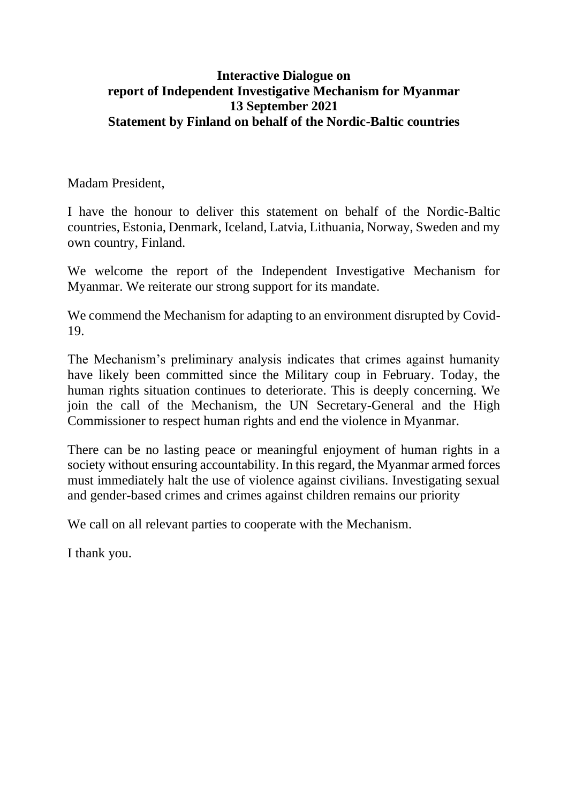### **Interactive Dialogue on report of Independent Investigative Mechanism for Myanmar 13 September 2021 Statement by Finland on behalf of the Nordic-Baltic countries**

Madam President,

I have the honour to deliver this statement on behalf of the Nordic-Baltic countries, Estonia, Denmark, Iceland, Latvia, Lithuania, Norway, Sweden and my own country, Finland.

We welcome the report of the Independent Investigative Mechanism for Myanmar. We reiterate our strong support for its mandate.

We commend the Mechanism for adapting to an environment disrupted by Covid-19.

The Mechanism's preliminary analysis indicates that crimes against humanity have likely been committed since the Military coup in February. Today, the human rights situation continues to deteriorate. This is deeply concerning. We join the call of the Mechanism, the UN Secretary-General and the High Commissioner to respect human rights and end the violence in Myanmar.

There can be no lasting peace or meaningful enjoyment of human rights in a society without ensuring accountability. In this regard, the Myanmar armed forces must immediately halt the use of violence against civilians. Investigating sexual and gender-based crimes and crimes against children remains our priority

We call on all relevant parties to cooperate with the Mechanism.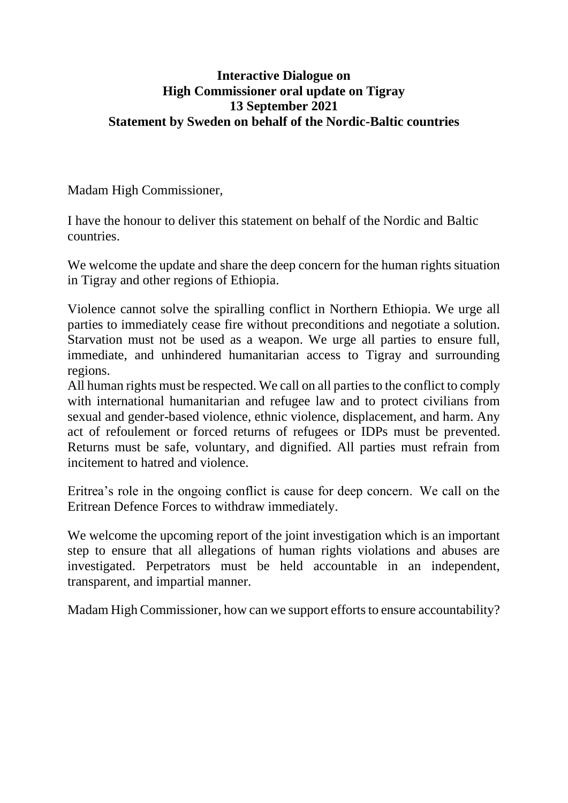#### **Interactive Dialogue on High Commissioner oral update on Tigray 13 September 2021 Statement by Sweden on behalf of the Nordic-Baltic countries**

Madam High Commissioner,

I have the honour to deliver this statement on behalf of the Nordic and Baltic countries.

We welcome the update and share the deep concern for the human rights situation in Tigray and other regions of Ethiopia.

Violence cannot solve the spiralling conflict in Northern Ethiopia. We urge all parties to immediately cease fire without preconditions and negotiate a solution. Starvation must not be used as a weapon. We urge all parties to ensure full, immediate, and unhindered humanitarian access to Tigray and surrounding regions.

All human rights must be respected. We call on all parties to the conflict to comply with international humanitarian and refugee law and to protect civilians from sexual and gender-based violence, ethnic violence, displacement, and harm. Any act of refoulement or forced returns of refugees or IDPs must be prevented. Returns must be safe, voluntary, and dignified. All parties must refrain from incitement to hatred and violence.

Eritrea's role in the ongoing conflict is cause for deep concern.  We call on the Eritrean Defence Forces to withdraw immediately.

We welcome the upcoming report of the joint investigation which is an important step to ensure that all allegations of human rights violations and abuses are investigated. Perpetrators must be held accountable in an independent, transparent, and impartial manner.

Madam High Commissioner, how can we support efforts to ensure accountability?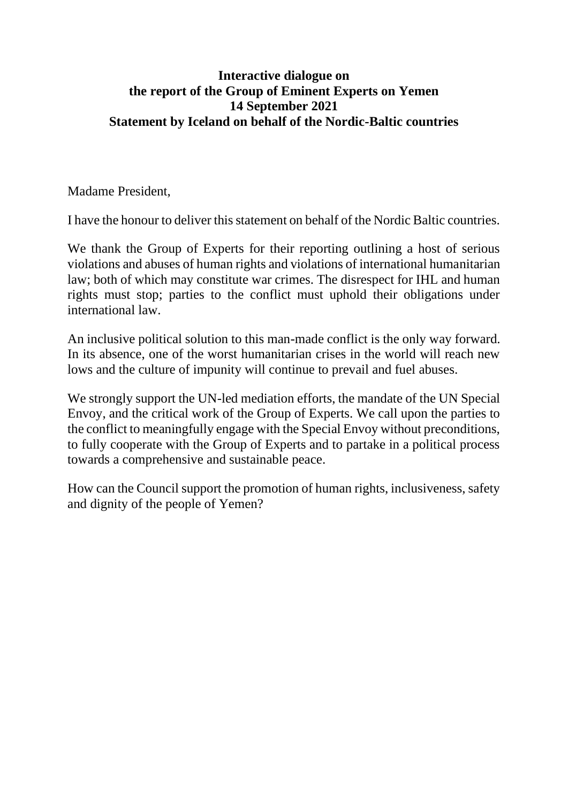#### **Interactive dialogue on the report of the Group of Eminent Experts on Yemen 14 September 2021 Statement by Iceland on behalf of the Nordic-Baltic countries**

Madame President,

I have the honour to deliver this statement on behalf of the Nordic Baltic countries.

We thank the Group of Experts for their reporting outlining a host of serious violations and abuses of human rights and violations of international humanitarian law; both of which may constitute war crimes. The disrespect for IHL and human rights must stop; parties to the conflict must uphold their obligations under international law.

An inclusive political solution to this man-made conflict is the only way forward. In its absence, one of the worst humanitarian crises in the world will reach new lows and the culture of impunity will continue to prevail and fuel abuses.

We strongly support the UN-led mediation efforts, the mandate of the UN Special Envoy, and the critical work of the Group of Experts. We call upon the parties to the conflict to meaningfully engage with the Special Envoy without preconditions, to fully cooperate with the Group of Experts and to partake in a political process towards a comprehensive and sustainable peace.

How can the Council support the promotion of human rights, inclusiveness, safety and dignity of the people of Yemen?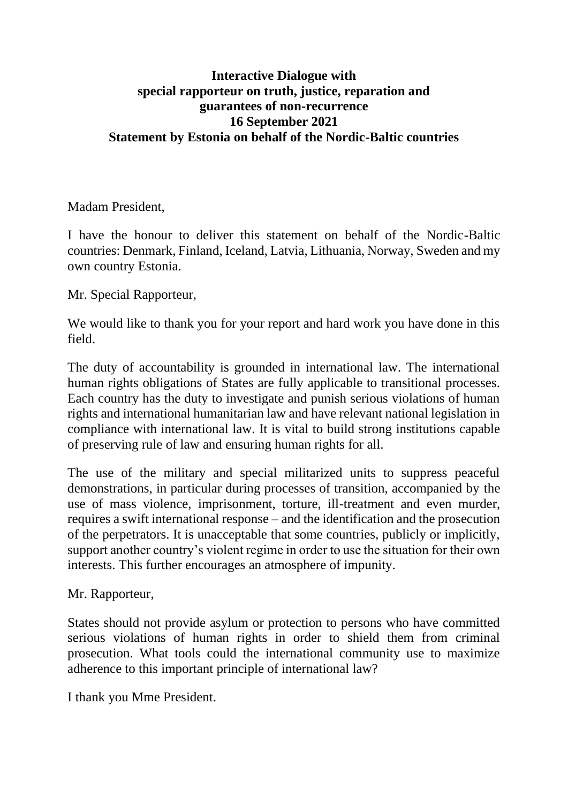# **Interactive Dialogue with special rapporteur on truth, justice, reparation and guarantees of non-recurrence 16 September 2021 Statement by Estonia on behalf of the Nordic-Baltic countries**

Madam President,

I have the honour to deliver this statement on behalf of the Nordic-Baltic countries: Denmark, Finland, Iceland, Latvia, Lithuania, Norway, Sweden and my own country Estonia.

Mr. Special Rapporteur,

We would like to thank you for your report and hard work you have done in this field.

The duty of accountability is grounded in international law. The international human rights obligations of States are fully applicable to transitional processes. Each country has the duty to investigate and punish serious violations of human rights and international humanitarian law and have relevant national legislation in compliance with international law. It is vital to build strong institutions capable of preserving rule of law and ensuring human rights for all.

The use of the military and special militarized units to suppress peaceful demonstrations, in particular during processes of transition, accompanied by the use of mass violence, imprisonment, torture, ill-treatment and even murder, requires a swift international response – and the identification and the prosecution of the perpetrators. It is unacceptable that some countries, publicly or implicitly, support another country's violent regime in order to use the situation for their own interests. This further encourages an atmosphere of impunity.

Mr. Rapporteur,

States should not provide asylum or protection to persons who have committed serious violations of human rights in order to shield them from criminal prosecution. What tools could the international community use to maximize adherence to this important principle of international law?

I thank you Mme President.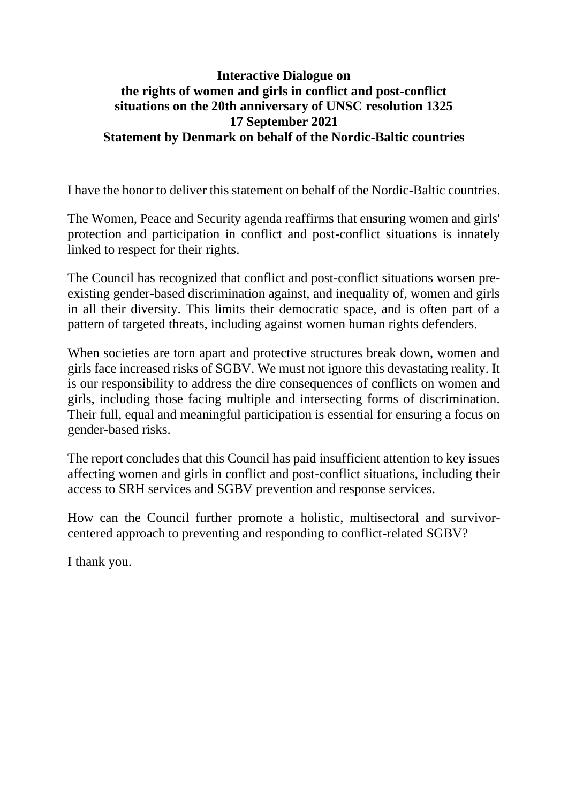# **Interactive Dialogue on the rights of women and girls in conflict and post-conflict situations on the 20th anniversary of UNSC resolution 1325 17 September 2021 Statement by Denmark on behalf of the Nordic-Baltic countries**

I have the honor to deliver this statement on behalf of the Nordic-Baltic countries.

The Women, Peace and Security agenda reaffirms that ensuring women and girls' protection and participation in conflict and post-conflict situations is innately linked to respect for their rights.

The Council has recognized that conflict and post-conflict situations worsen preexisting gender-based discrimination against, and inequality of, women and girls in all their diversity. This limits their democratic space, and is often part of a pattern of targeted threats, including against women human rights defenders.

When societies are torn apart and protective structures break down, women and girls face increased risks of SGBV. We must not ignore this devastating reality. It is our responsibility to address the dire consequences of conflicts on women and girls, including those facing multiple and intersecting forms of discrimination. Their full, equal and meaningful participation is essential for ensuring a focus on gender-based risks.

The report concludes that this Council has paid insufficient attention to key issues affecting women and girls in conflict and post-conflict situations, including their access to SRH services and SGBV prevention and response services.

How can the Council further promote a holistic, multisectoral and survivorcentered approach to preventing and responding to conflict-related SGBV?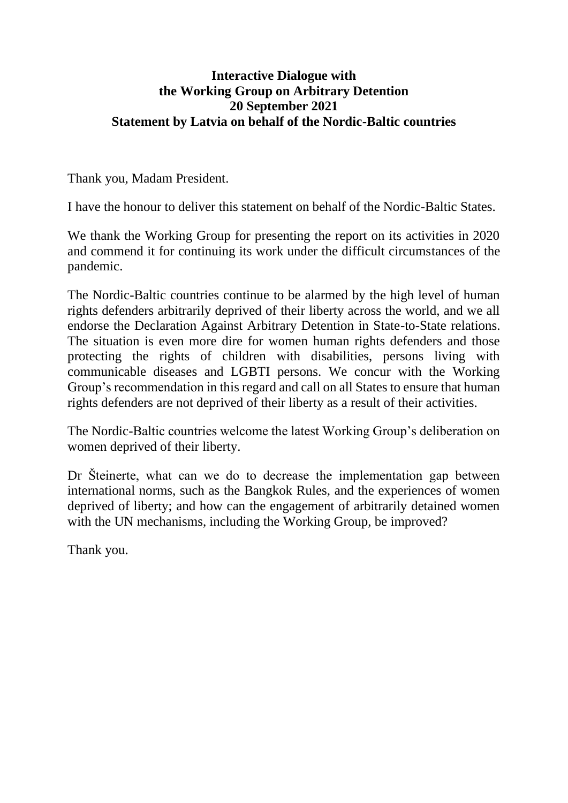#### **Interactive Dialogue with the Working Group on Arbitrary Detention 20 September 2021 Statement by Latvia on behalf of the Nordic-Baltic countries**

Thank you, Madam President.

I have the honour to deliver this statement on behalf of the Nordic-Baltic States.

We thank the Working Group for presenting the report on its activities in 2020 and commend it for continuing its work under the difficult circumstances of the pandemic.

The Nordic-Baltic countries continue to be alarmed by the high level of human rights defenders arbitrarily deprived of their liberty across the world, and we all endorse the Declaration Against Arbitrary Detention in State-to-State relations. The situation is even more dire for women human rights defenders and those protecting the rights of children with disabilities, persons living with communicable diseases and LGBTI persons. We concur with the Working Group's recommendation in this regard and call on all States to ensure that human rights defenders are not deprived of their liberty as a result of their activities.

The Nordic-Baltic countries welcome the latest Working Group's deliberation on women deprived of their liberty.

Dr Šteinerte, what can we do to decrease the implementation gap between international norms, such as the Bangkok Rules, and the experiences of women deprived of liberty; and how can the engagement of arbitrarily detained women with the UN mechanisms, including the Working Group, be improved?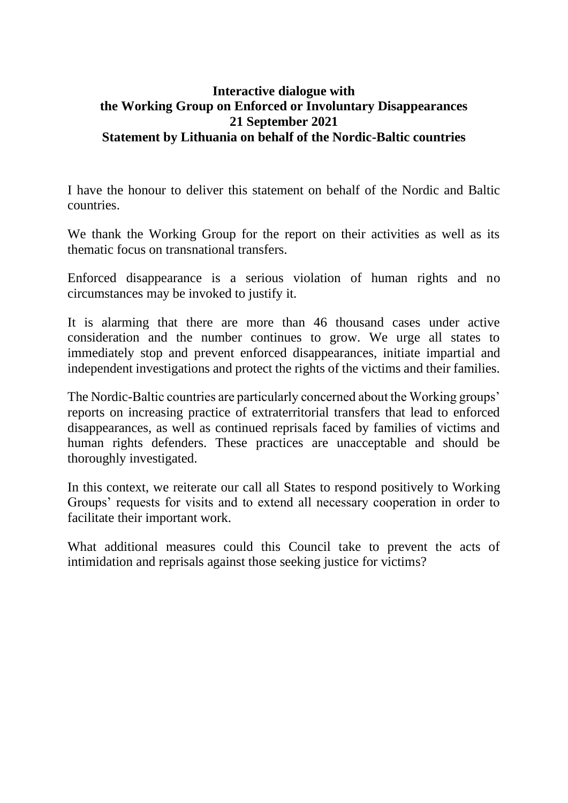### **Interactive dialogue with the Working Group on Enforced or Involuntary Disappearances 21 September 2021 Statement by Lithuania on behalf of the Nordic-Baltic countries**

I have the honour to deliver this statement on behalf of the Nordic and Baltic countries.

We thank the Working Group for the report on their activities as well as its thematic focus on transnational transfers.

Enforced disappearance is a serious violation of human rights and no circumstances may be invoked to justify it.

It is alarming that there are more than 46 thousand cases under active consideration and the number continues to grow. We urge all states to immediately stop and prevent enforced disappearances, initiate impartial and independent investigations and protect the rights of the victims and their families.

The Nordic-Baltic countries are particularly concerned about the Working groups' reports on increasing practice of extraterritorial transfers that lead to enforced disappearances, as well as continued reprisals faced by families of victims and human rights defenders. These practices are unacceptable and should be thoroughly investigated.

In this context, we reiterate our call all States to respond positively to Working Groups' requests for visits and to extend all necessary cooperation in order to facilitate their important work.

What additional measures could this Council take to prevent the acts of intimidation and reprisals against those seeking justice for victims?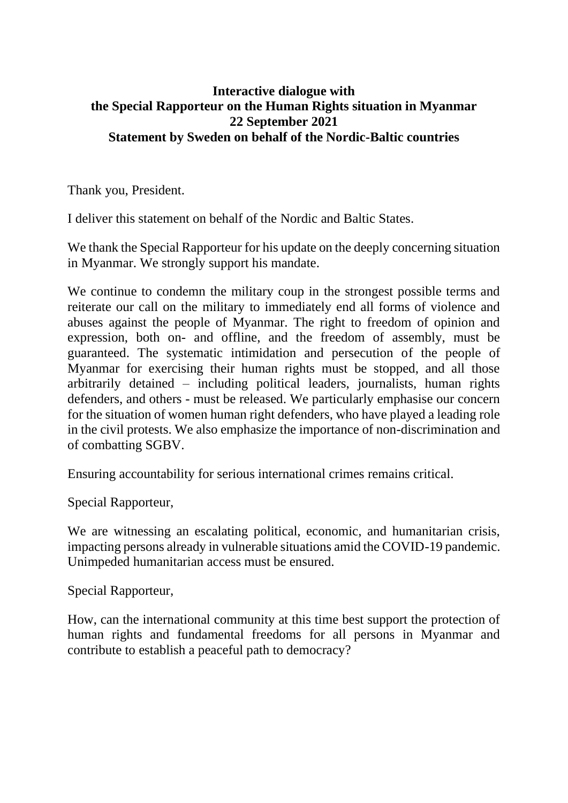## **Interactive dialogue with the Special Rapporteur on the Human Rights situation in Myanmar 22 September 2021 Statement by Sweden on behalf of the Nordic-Baltic countries**

Thank you, President.

I deliver this statement on behalf of the Nordic and Baltic States.

We thank the Special Rapporteur for his update on the deeply concerning situation in Myanmar. We strongly support his mandate.

We continue to condemn the military coup in the strongest possible terms and reiterate our call on the military to immediately end all forms of violence and abuses against the people of Myanmar. The right to freedom of opinion and expression, both on- and offline, and the freedom of assembly, must be guaranteed. The systematic intimidation and persecution of the people of Myanmar for exercising their human rights must be stopped, and all those arbitrarily detained – including political leaders, journalists, human rights defenders, and others - must be released. We particularly emphasise our concern for the situation of women human right defenders, who have played a leading role in the civil protests. We also emphasize the importance of non-discrimination and of combatting SGBV.

Ensuring accountability for serious international crimes remains critical.

Special Rapporteur,

We are witnessing an escalating political, economic, and humanitarian crisis, impacting persons already in vulnerable situations amid the COVID-19 pandemic. Unimpeded humanitarian access must be ensured.

Special Rapporteur,

How, can the international community at this time best support the protection of human rights and fundamental freedoms for all persons in Myanmar and contribute to establish a peaceful path to democracy?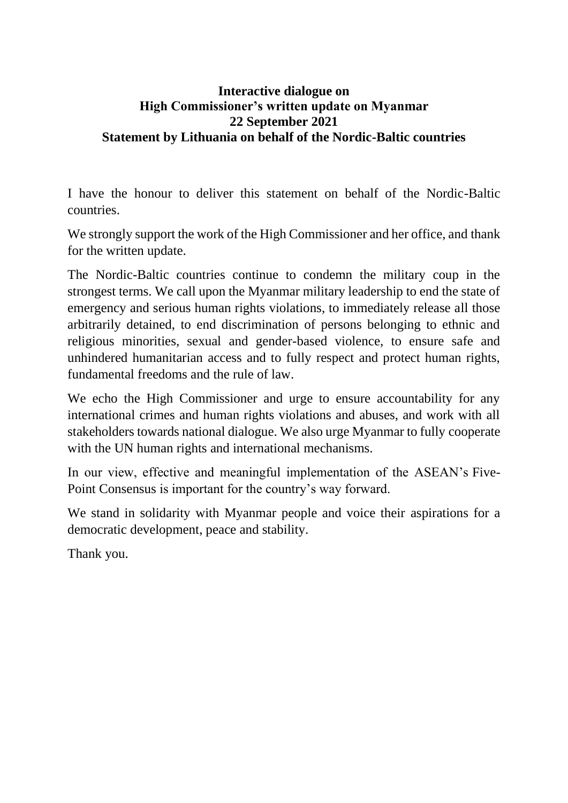### **Interactive dialogue on High Commissioner's written update on Myanmar 22 September 2021 Statement by Lithuania on behalf of the Nordic-Baltic countries**

I have the honour to deliver this statement on behalf of the Nordic-Baltic countries.

We strongly support the work of the High Commissioner and her office, and thank for the written update.

The Nordic-Baltic countries continue to condemn the military coup in the strongest terms. We call upon the Myanmar military leadership to end the state of emergency and serious human rights violations, to immediately release all those arbitrarily detained, to end discrimination of persons belonging to ethnic and religious minorities, sexual and gender-based violence, to ensure safe and unhindered humanitarian access and to fully respect and protect human rights, fundamental freedoms and the rule of law.

We echo the High Commissioner and urge to ensure accountability for any international crimes and human rights violations and abuses, and work with all stakeholders towards national dialogue. We also urge Myanmar to fully cooperate with the UN human rights and international mechanisms.

In our view, effective and meaningful implementation of the ASEAN's Five-Point Consensus is important for the country's way forward.

We stand in solidarity with Myanmar people and voice their aspirations for a democratic development, peace and stability.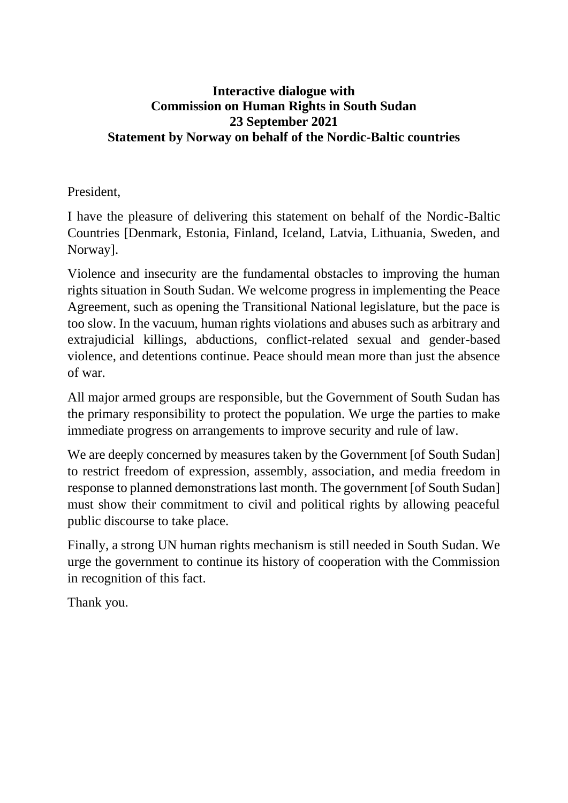# **Interactive dialogue with Commission on Human Rights in South Sudan 23 September 2021 Statement by Norway on behalf of the Nordic-Baltic countries**

President,

I have the pleasure of delivering this statement on behalf of the Nordic-Baltic Countries [Denmark, Estonia, Finland, Iceland, Latvia, Lithuania, Sweden, and Norway].

Violence and insecurity are the fundamental obstacles to improving the human rights situation in South Sudan. We welcome progress in implementing the Peace Agreement, such as opening the Transitional National legislature, but the pace is too slow. In the vacuum, human rights violations and abuses such as arbitrary and extrajudicial killings, abductions, conflict-related sexual and gender-based violence, and detentions continue. Peace should mean more than just the absence of war.

All major armed groups are responsible, but the Government of South Sudan has the primary responsibility to protect the population. We urge the parties to make immediate progress on arrangements to improve security and rule of law.

We are deeply concerned by measures taken by the Government [of South Sudan] to restrict freedom of expression, assembly, association, and media freedom in response to planned demonstrations last month. The government [of South Sudan] must show their commitment to civil and political rights by allowing peaceful public discourse to take place.

Finally, a strong UN human rights mechanism is still needed in South Sudan. We urge the government to continue its history of cooperation with the Commission in recognition of this fact.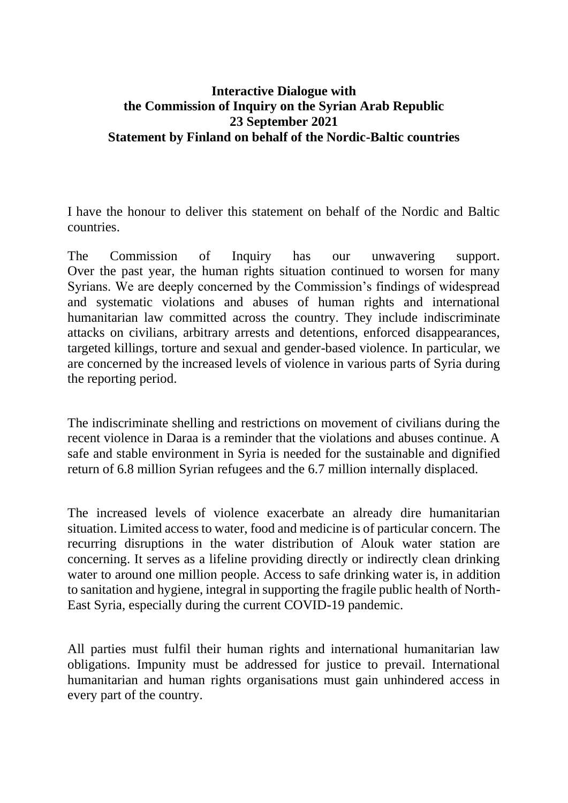### **Interactive Dialogue with the Commission of Inquiry on the Syrian Arab Republic 23 September 2021 Statement by Finland on behalf of the Nordic-Baltic countries**

I have the honour to deliver this statement on behalf of the Nordic and Baltic countries.

The Commission of Inquiry has our unwavering support. Over the past year, the human rights situation continued to worsen for many Syrians. We are deeply concerned by the Commission's findings of widespread and systematic violations and abuses of human rights and international humanitarian law committed across the country. They include indiscriminate attacks on civilians, arbitrary arrests and detentions, enforced disappearances, targeted killings, torture and sexual and gender-based violence. In particular, we are concerned by the increased levels of violence in various parts of Syria during the reporting period.

The indiscriminate shelling and restrictions on movement of civilians during the recent violence in Daraa is a reminder that the violations and abuses continue. A safe and stable environment in Syria is needed for the sustainable and dignified return of 6.8 million Syrian refugees and the 6.7 million internally displaced.

The increased levels of violence exacerbate an already dire humanitarian situation. Limited access to water, food and medicine is of particular concern. The recurring disruptions in the water distribution of Alouk water station are concerning. It serves as a lifeline providing directly or indirectly clean drinking water to around one million people. Access to safe drinking water is, in addition to sanitation and hygiene, integral in supporting the fragile public health of North-East Syria, especially during the current COVID-19 pandemic.

All parties must fulfil their human rights and international humanitarian law obligations. Impunity must be addressed for justice to prevail. International humanitarian and human rights organisations must gain unhindered access in every part of the country.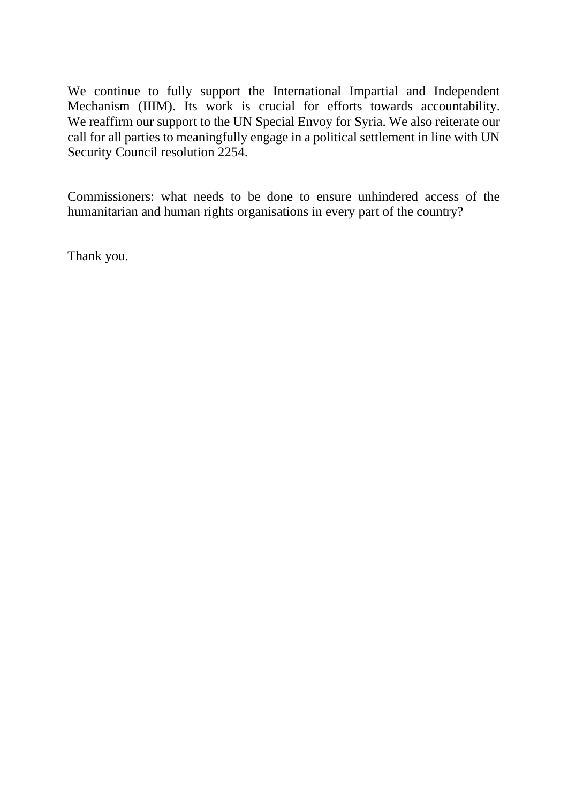We continue to fully support the International Impartial and Independent Mechanism (IIIM). Its work is crucial for efforts towards accountability. We reaffirm our support to the UN Special Envoy for Syria. We also reiterate our call for all parties to meaningfully engage in a political settlement in line with UN Security Council resolution 2254.

Commissioners: what needs to be done to ensure unhindered access of the humanitarian and human rights organisations in every part of the country?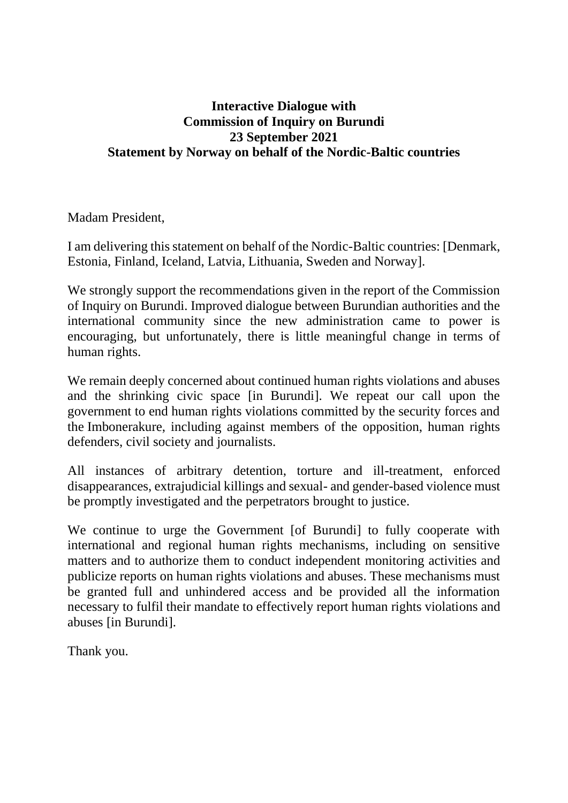# **Interactive Dialogue with Commission of Inquiry on Burundi 23 September 2021 Statement by Norway on behalf of the Nordic-Baltic countries**

Madam President,

I am delivering this statement on behalf of the Nordic-Baltic countries: [Denmark, Estonia, Finland, Iceland, Latvia, Lithuania, Sweden and Norway].

We strongly support the recommendations given in the report of the Commission of Inquiry on Burundi. Improved dialogue between Burundian authorities and the international community since the new administration came to power is encouraging, but unfortunately, there is little meaningful change in terms of human rights.

We remain deeply concerned about continued human rights violations and abuses and the shrinking civic space [in Burundi]. We repeat our call upon the government to end human rights violations committed by the security forces and the Imbonerakure, including against members of the opposition, human rights defenders, civil society and journalists.

All instances of arbitrary detention, torture and ill-treatment, enforced disappearances, extrajudicial killings and sexual- and gender-based violence must be promptly investigated and the perpetrators brought to justice.

We continue to urge the Government [of Burundi] to fully cooperate with international and regional human rights mechanisms, including on sensitive matters and to authorize them to conduct independent monitoring activities and publicize reports on human rights violations and abuses. These mechanisms must be granted full and unhindered access and be provided all the information necessary to fulfil their mandate to effectively report human rights violations and abuses [in Burundi].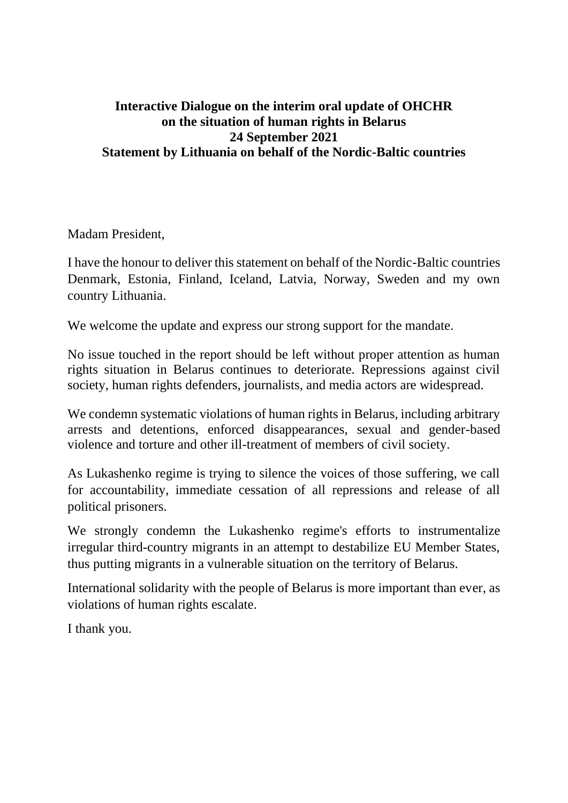# **Interactive Dialogue on the interim oral update of OHCHR on the situation of human rights in Belarus 24 September 2021 Statement by Lithuania on behalf of the Nordic-Baltic countries**

Madam President,

I have the honour to deliver this statement on behalf of the Nordic-Baltic countries Denmark, Estonia, Finland, Iceland, Latvia, Norway, Sweden and my own country Lithuania.

We welcome the update and express our strong support for the mandate.

No issue touched in the report should be left without proper attention as human rights situation in Belarus continues to deteriorate. Repressions against civil society, human rights defenders, journalists, and media actors are widespread.

We condemn systematic violations of human rights in Belarus, including arbitrary arrests and detentions, enforced disappearances, sexual and gender-based violence and torture and other ill-treatment of members of civil society.

As Lukashenko regime is trying to silence the voices of those suffering, we call for accountability, immediate cessation of all repressions and release of all political prisoners.

We strongly condemn the Lukashenko regime's efforts to instrumentalize irregular third-country migrants in an attempt to destabilize EU Member States, thus putting migrants in a vulnerable situation on the territory of Belarus.

International solidarity with the people of Belarus is more important than ever, as violations of human rights escalate.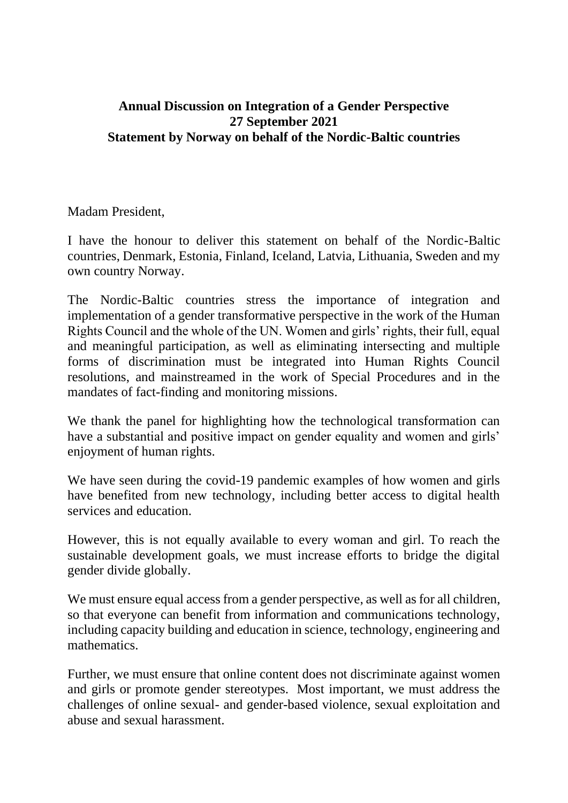# **Annual Discussion on Integration of a Gender Perspective 27 September 2021 Statement by Norway on behalf of the Nordic-Baltic countries**

Madam President,

I have the honour to deliver this statement on behalf of the Nordic-Baltic countries, Denmark, Estonia, Finland, Iceland, Latvia, Lithuania, Sweden and my own country Norway.

The Nordic-Baltic countries stress the importance of integration and implementation of a gender transformative perspective in the work of the Human Rights Council and the whole of the UN. Women and girls' rights, their full, equal and meaningful participation, as well as eliminating intersecting and multiple forms of discrimination must be integrated into Human Rights Council resolutions, and mainstreamed in the work of Special Procedures and in the mandates of fact-finding and monitoring missions.

We thank the panel for highlighting how the technological transformation can have a substantial and positive impact on gender equality and women and girls' enjoyment of human rights.

We have seen during the covid-19 pandemic examples of how women and girls have benefited from new technology, including better access to digital health services and education.

However, this is not equally available to every woman and girl. To reach the sustainable development goals, we must increase efforts to bridge the digital gender divide globally.

We must ensure equal access from a gender perspective, as well as for all children, so that everyone can benefit from information and communications technology, including capacity building and education in science, technology, engineering and mathematics.

Further, we must ensure that online content does not discriminate against women and girls or promote gender stereotypes. Most important, we must address the challenges of online sexual- and gender-based violence, sexual exploitation and abuse and sexual harassment.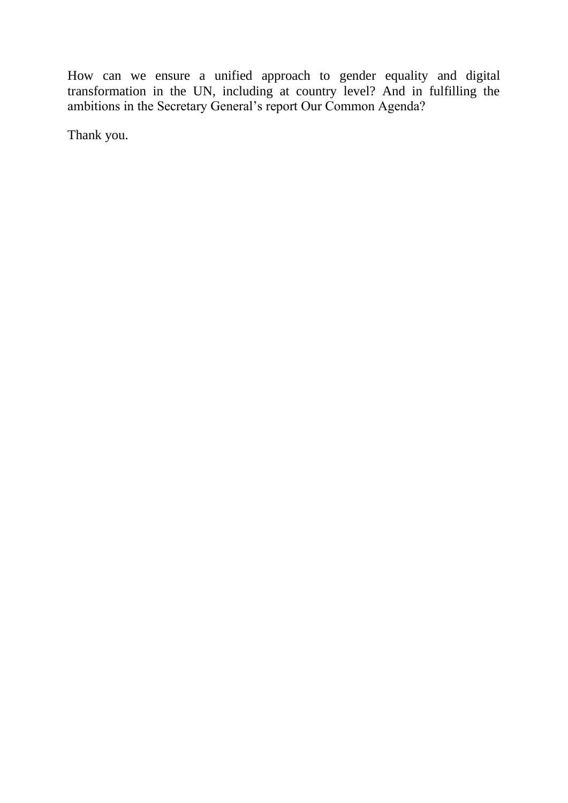How can we ensure a unified approach to gender equality and digital transformation in the UN, including at country level? And in fulfilling the ambitions in the Secretary General's report Our Common Agenda?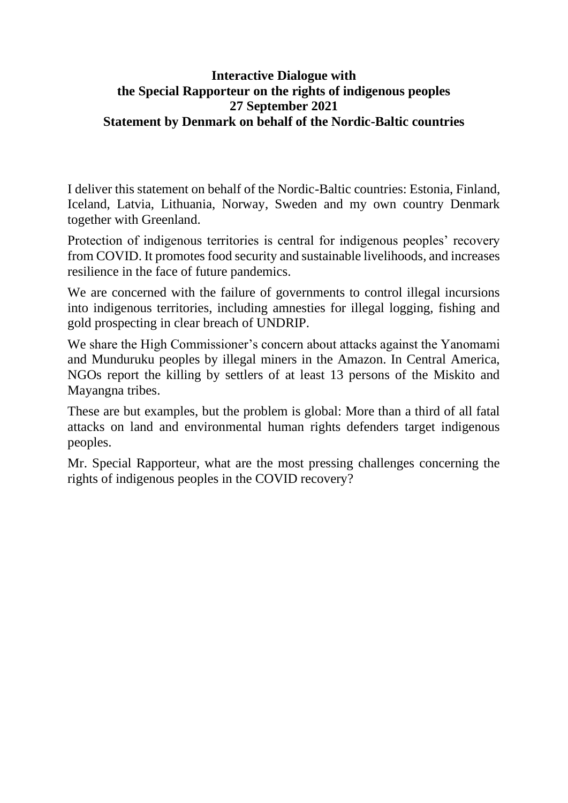### **Interactive Dialogue with the Special Rapporteur on the rights of indigenous peoples 27 September 2021 Statement by Denmark on behalf of the Nordic-Baltic countries**

I deliver this statement on behalf of the Nordic-Baltic countries: Estonia, Finland, Iceland, Latvia, Lithuania, Norway, Sweden and my own country Denmark together with Greenland.

Protection of indigenous territories is central for indigenous peoples' recovery from COVID. It promotes food security and sustainable livelihoods, and increases resilience in the face of future pandemics.

We are concerned with the failure of governments to control illegal incursions into indigenous territories, including amnesties for illegal logging, fishing and gold prospecting in clear breach of UNDRIP.

We share the High Commissioner's concern about attacks against the Yanomami and Munduruku peoples by illegal miners in the Amazon. In Central America, NGOs report the killing by settlers of at least 13 persons of the Miskito and Mayangna tribes.

These are but examples, but the problem is global: More than a third of all fatal attacks on land and environmental human rights defenders target indigenous peoples.

Mr. Special Rapporteur, what are the most pressing challenges concerning the rights of indigenous peoples in the COVID recovery?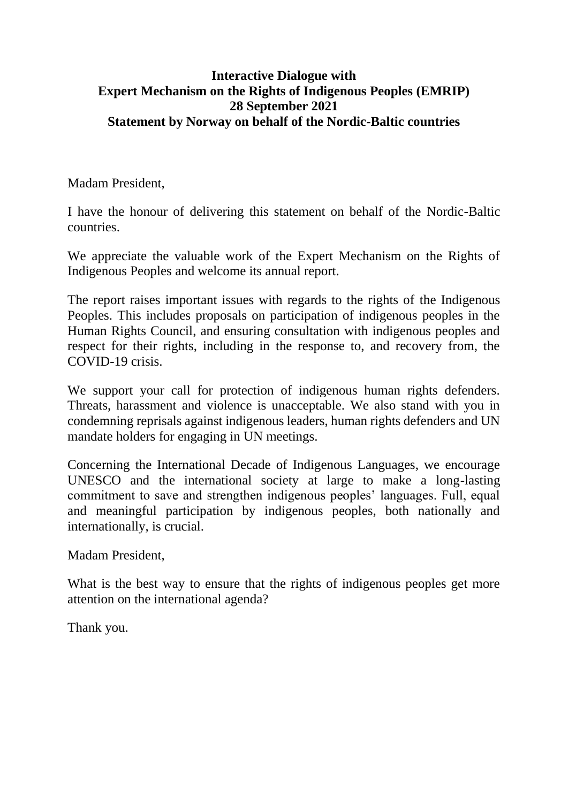### **Interactive Dialogue with Expert Mechanism on the Rights of Indigenous Peoples (EMRIP) 28 September 2021 Statement by Norway on behalf of the Nordic-Baltic countries**

Madam President,

I have the honour of delivering this statement on behalf of the Nordic-Baltic countries.

We appreciate the valuable work of the Expert Mechanism on the Rights of Indigenous Peoples and welcome its annual report.

The report raises important issues with regards to the rights of the Indigenous Peoples. This includes proposals on participation of indigenous peoples in the Human Rights Council, and ensuring consultation with indigenous peoples and respect for their rights, including in the response to, and recovery from, the COVID-19 crisis.

We support your call for protection of indigenous human rights defenders. Threats, harassment and violence is unacceptable. We also stand with you in condemning reprisals against indigenous leaders, human rights defenders and UN mandate holders for engaging in UN meetings.

Concerning the International Decade of Indigenous Languages, we encourage UNESCO and the international society at large to make a long-lasting commitment to save and strengthen indigenous peoples' languages. Full, equal and meaningful participation by indigenous peoples, both nationally and internationally, is crucial.

Madam President,

What is the best way to ensure that the rights of indigenous peoples get more attention on the international agenda?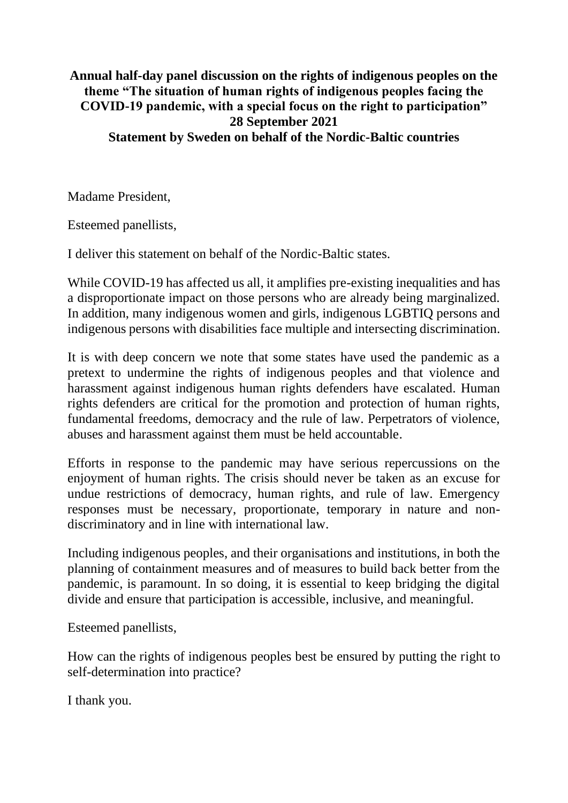# **Annual half-day panel discussion on the rights of indigenous peoples on the theme "The situation of human rights of indigenous peoples facing the COVID-19 pandemic, with a special focus on the right to participation" 28 September 2021 Statement by Sweden on behalf of the Nordic-Baltic countries**

Madame President,

Esteemed panellists,

I deliver this statement on behalf of the Nordic-Baltic states.

While COVID-19 has affected us all, it amplifies pre-existing inequalities and has a disproportionate impact on those persons who are already being marginalized. In addition, many indigenous women and girls, indigenous LGBTIQ persons and indigenous persons with disabilities face multiple and intersecting discrimination.

It is with deep concern we note that some states have used the pandemic as a pretext to undermine the rights of indigenous peoples and that violence and harassment against indigenous human rights defenders have escalated. Human rights defenders are critical for the promotion and protection of human rights, fundamental freedoms, democracy and the rule of law. Perpetrators of violence, abuses and harassment against them must be held accountable.

Efforts in response to the pandemic may have serious repercussions on the enjoyment of human rights. The crisis should never be taken as an excuse for undue restrictions of democracy, human rights, and rule of law. Emergency responses must be necessary, proportionate, temporary in nature and nondiscriminatory and in line with international law.

Including indigenous peoples, and their organisations and institutions, in both the planning of containment measures and of measures to build back better from the pandemic, is paramount. In so doing, it is essential to keep bridging the digital divide and ensure that participation is accessible, inclusive, and meaningful.

Esteemed panellists,

How can the rights of indigenous peoples best be ensured by putting the right to self-determination into practice?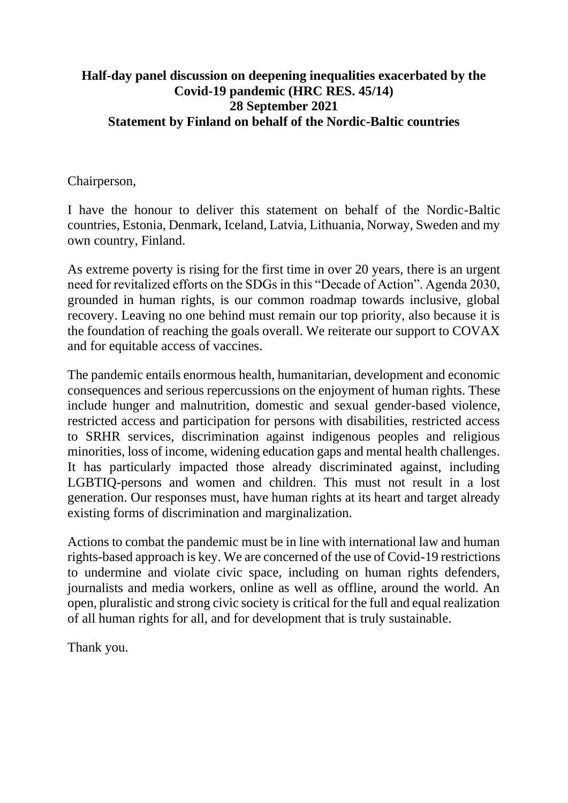# **Half-day panel discussion on deepening inequalities exacerbated by the Covid-19 pandemic (HRC RES. 45/14) 28 September 2021 Statement by Finland on behalf of the Nordic-Baltic countries**

#### Chairperson,

I have the honour to deliver this statement on behalf of the Nordic-Baltic countries, Estonia, Denmark, Iceland, Latvia, Lithuania, Norway, Sweden and my own country, Finland.

As extreme poverty is rising for the first time in over 20 years, there is an urgent need for revitalized efforts on the SDGs in this "Decade of Action". Agenda 2030, grounded in human rights, is our common roadmap towards inclusive, global recovery. Leaving no one behind must remain our top priority, also because it is the foundation of reaching the goals overall. We reiterate our support to COVAX and for equitable access of vaccines.

The pandemic entails enormous health, humanitarian, development and economic consequences and serious repercussions on the enjoyment of human rights. These include hunger and malnutrition, domestic and sexual gender-based violence, restricted access and participation for persons with disabilities, restricted access to SRHR services, discrimination against indigenous peoples and religious minorities, loss of income, widening education gaps and mental health challenges. It has particularly impacted those already discriminated against, including LGBTIQ-persons and women and children. This must not result in a lost generation. Our responses must, have human rights at its heart and target already existing forms of discrimination and marginalization.

Actions to combat the pandemic must be in line with international law and human rights-based approach is key. We are concerned of the use of Covid-19 restrictions to undermine and violate civic space, including on human rights defenders, journalists and media workers, online as well as offline, around the world. An open, pluralistic and strong civic society is critical for the full and equal realization of all human rights for all, and for development that is truly sustainable.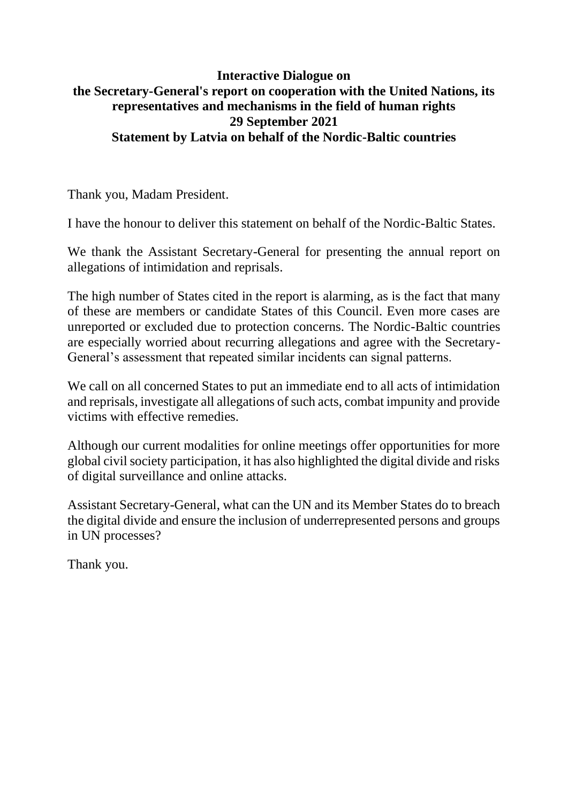### **Interactive Dialogue on the Secretary-General's report on cooperation with the United Nations, its representatives and mechanisms in the field of human rights 29 September 2021 Statement by Latvia on behalf of the Nordic-Baltic countries**

Thank you, Madam President.

I have the honour to deliver this statement on behalf of the Nordic-Baltic States.

We thank the Assistant Secretary-General for presenting the annual report on allegations of intimidation and reprisals.

The high number of States cited in the report is alarming, as is the fact that many of these are members or candidate States of this Council. Even more cases are unreported or excluded due to protection concerns. The Nordic-Baltic countries are especially worried about recurring allegations and agree with the Secretary-General's assessment that repeated similar incidents can signal patterns.

We call on all concerned States to put an immediate end to all acts of intimidation and reprisals, investigate all allegations of such acts, combat impunity and provide victims with effective remedies.

Although our current modalities for online meetings offer opportunities for more global civil society participation, it has also highlighted the digital divide and risks of digital surveillance and online attacks.

Assistant Secretary-General, what can the UN and its Member States do to breach the digital divide and ensure the inclusion of underrepresented persons and groups in UN processes?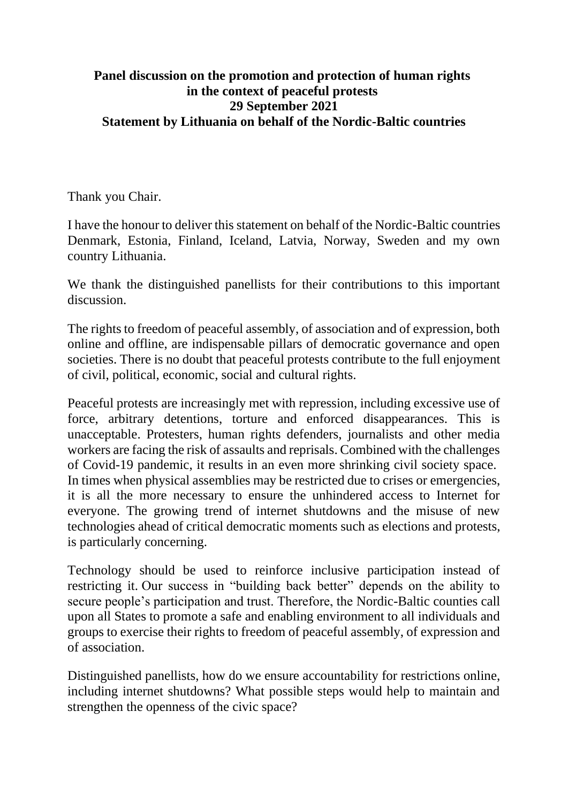# **Panel discussion on the promotion and protection of human rights in the context of peaceful protests 29 September 2021 Statement by Lithuania on behalf of the Nordic-Baltic countries**

Thank you Chair.

I have the honour to deliver this statement on behalf of the Nordic-Baltic countries Denmark, Estonia, Finland, Iceland, Latvia, Norway, Sweden and my own country Lithuania.

We thank the distinguished panellists for their contributions to this important discussion.

The rights to freedom of peaceful assembly, of association and of expression, both online and offline, are indispensable pillars of democratic governance and open societies. There is no doubt that peaceful protests contribute to the full enjoyment of civil, political, economic, social and cultural rights.

Peaceful protests are increasingly met with repression, including excessive use of force, arbitrary detentions, torture and enforced disappearances. This is unacceptable. Protesters, human rights defenders, journalists and other media workers are facing the risk of assaults and reprisals. Combined with the challenges of Covid-19 pandemic, it results in an even more shrinking civil society space. In times when physical assemblies may be restricted due to crises or emergencies, it is all the more necessary to ensure the unhindered access to Internet for everyone. The growing trend of internet shutdowns and the misuse of new technologies ahead of critical democratic moments such as elections and protests, is particularly concerning.

Technology should be used to reinforce inclusive participation instead of restricting it. Our success in "building back better" depends on the ability to secure people's participation and trust. Therefore, the Nordic-Baltic counties call upon all States to promote a safe and enabling environment to all individuals and groups to exercise their rights to freedom of peaceful assembly, of expression and of association.

Distinguished panellists, how do we ensure accountability for restrictions online, including internet shutdowns? What possible steps would help to maintain and strengthen the openness of the civic space?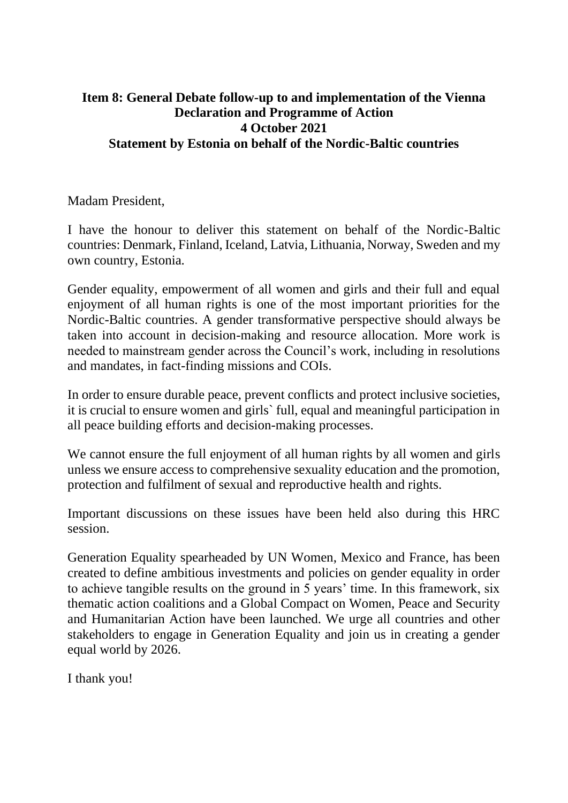# **Item 8: General Debate follow-up to and implementation of the Vienna Declaration and Programme of Action 4 October 2021 Statement by Estonia on behalf of the Nordic-Baltic countries**

Madam President,

I have the honour to deliver this statement on behalf of the Nordic-Baltic countries: Denmark, Finland, Iceland, Latvia, Lithuania, Norway, Sweden and my own country, Estonia.

Gender equality, empowerment of all women and girls and their full and equal enjoyment of all human rights is one of the most important priorities for the Nordic-Baltic countries. A gender transformative perspective should always be taken into account in decision-making and resource allocation. More work is needed to mainstream gender across the Council's work, including in resolutions and mandates, in fact-finding missions and COIs.

In order to ensure durable peace, prevent conflicts and protect inclusive societies, it is crucial to ensure women and girls` full, equal and meaningful participation in all peace building efforts and decision-making processes.

We cannot ensure the full enjoyment of all human rights by all women and girls unless we ensure access to comprehensive sexuality education and the promotion, protection and fulfilment of sexual and reproductive health and rights.

Important discussions on these issues have been held also during this HRC session.

Generation Equality spearheaded by UN Women, Mexico and France, has been created to define ambitious investments and policies on gender equality in order to achieve tangible results on the ground in 5 years' time. In this framework, six thematic action coalitions and a Global Compact on Women, Peace and Security and Humanitarian Action have been launched. We urge all countries and other stakeholders to engage in Generation Equality and join us in creating a gender equal world by 2026.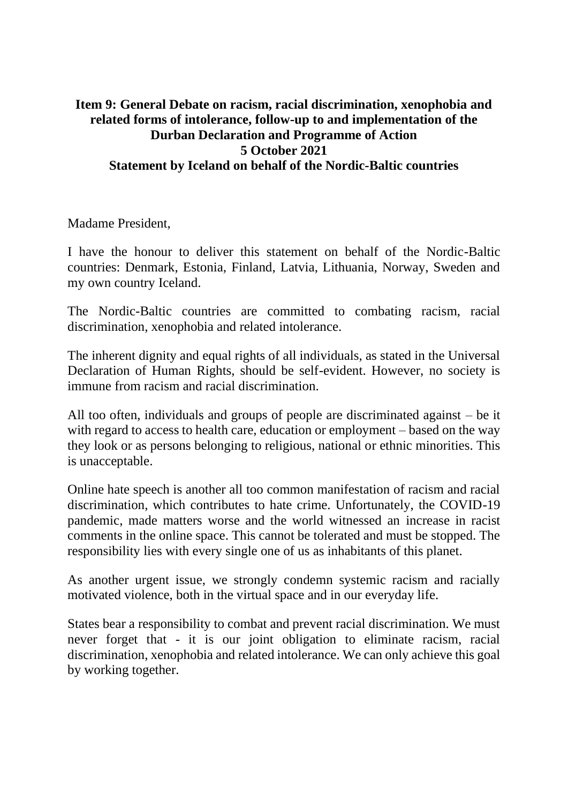# **Item 9: General Debate on racism, racial discrimination, xenophobia and related forms of intolerance, follow-up to and implementation of the Durban Declaration and Programme of Action 5 October 2021 Statement by Iceland on behalf of the Nordic-Baltic countries**

Madame President,

I have the honour to deliver this statement on behalf of the Nordic-Baltic countries: Denmark, Estonia, Finland, Latvia, Lithuania, Norway, Sweden and my own country Iceland.

The Nordic-Baltic countries are committed to combating racism, racial discrimination, xenophobia and related intolerance.

The inherent dignity and equal rights of all individuals, as stated in the Universal Declaration of Human Rights, should be self-evident. However, no society is immune from racism and racial discrimination.

All too often, individuals and groups of people are discriminated against – be it with regard to access to health care, education or employment – based on the way they look or as persons belonging to religious, national or ethnic minorities. This is unacceptable.

Online hate speech is another all too common manifestation of racism and racial discrimination, which contributes to hate crime. Unfortunately, the COVID-19 pandemic, made matters worse and the world witnessed an increase in racist comments in the online space. This cannot be tolerated and must be stopped. The responsibility lies with every single one of us as inhabitants of this planet.

As another urgent issue, we strongly condemn systemic racism and racially motivated violence, both in the virtual space and in our everyday life.

States bear a responsibility to combat and prevent racial discrimination. We must never forget that - it is our joint obligation to eliminate racism, racial discrimination, xenophobia and related intolerance. We can only achieve this goal by working together.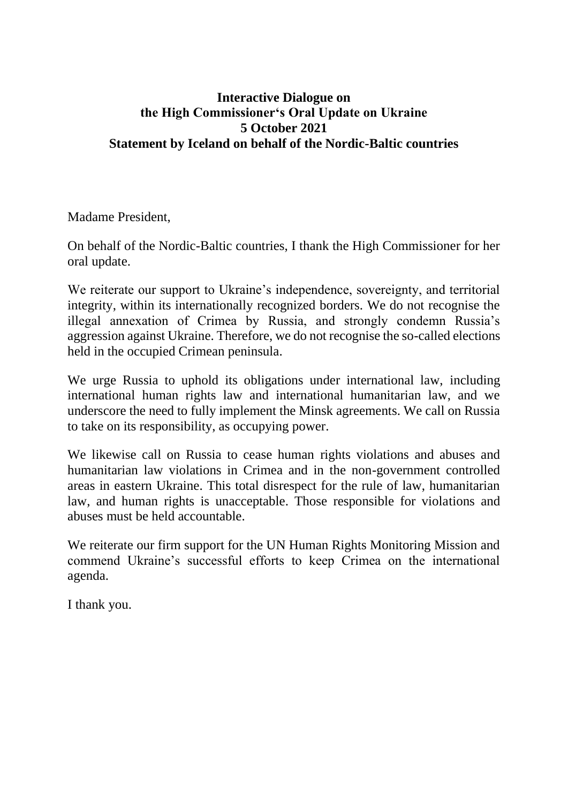# **Interactive Dialogue on the High Commissioner's Oral Update on Ukraine 5 October 2021 Statement by Iceland on behalf of the Nordic-Baltic countries**

Madame President,

On behalf of the Nordic-Baltic countries, I thank the High Commissioner for her oral update.

We reiterate our support to Ukraine's independence, sovereignty, and territorial integrity, within its internationally recognized borders. We do not recognise the illegal annexation of Crimea by Russia, and strongly condemn Russia's aggression against Ukraine. Therefore, we do not recognise the so-called elections held in the occupied Crimean peninsula.

We urge Russia to uphold its obligations under international law, including international human rights law and international humanitarian law, and we underscore the need to fully implement the Minsk agreements. We call on Russia to take on its responsibility, as occupying power.

We likewise call on Russia to cease human rights violations and abuses and humanitarian law violations in Crimea and in the non-government controlled areas in eastern Ukraine. This total disrespect for the rule of law, humanitarian law, and human rights is unacceptable. Those responsible for violations and abuses must be held accountable.

We reiterate our firm support for the UN Human Rights Monitoring Mission and commend Ukraine's successful efforts to keep Crimea on the international agenda.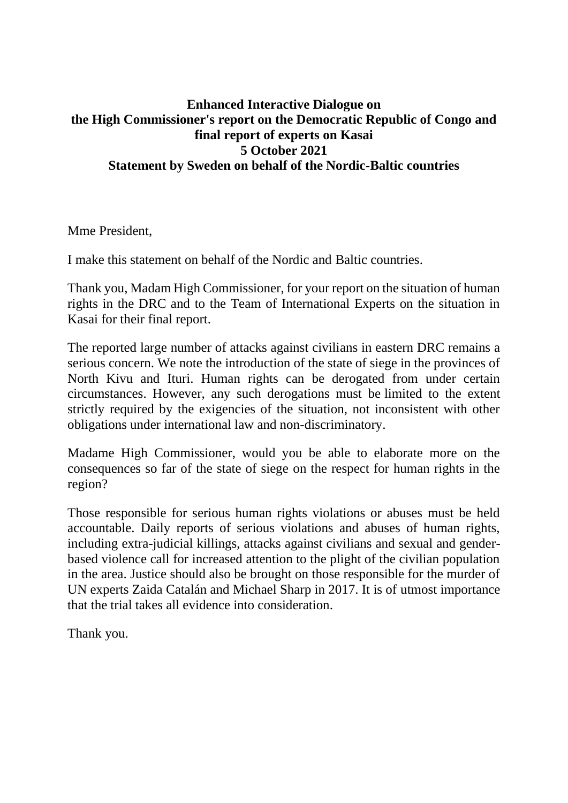# **Enhanced Interactive Dialogue on the High Commissioner's report on the Democratic Republic of Congo and final report of experts on Kasai 5 October 2021 Statement by Sweden on behalf of the Nordic-Baltic countries**

Mme President,

I make this statement on behalf of the Nordic and Baltic countries.

Thank you, Madam High Commissioner, for your report on the situation of human rights in the DRC and to the Team of International Experts on the situation in Kasai for their final report.

The reported large number of attacks against civilians in eastern DRC remains a serious concern. We note the introduction of the state of siege in the provinces of North Kivu and Ituri. Human rights can be derogated from under certain circumstances. However, any such derogations must be limited to the extent strictly required by the exigencies of the situation, not inconsistent with other obligations under international law and non-discriminatory.

Madame High Commissioner, would you be able to elaborate more on the consequences so far of the state of siege on the respect for human rights in the region?

Those responsible for serious human rights violations or abuses must be held accountable. Daily reports of serious violations and abuses of human rights, including extra-judicial killings, attacks against civilians and sexual and genderbased violence call for increased attention to the plight of the civilian population in the area. Justice should also be brought on those responsible for the murder of UN experts Zaida Catalán and Michael Sharp in 2017. It is of utmost importance that the trial takes all evidence into consideration.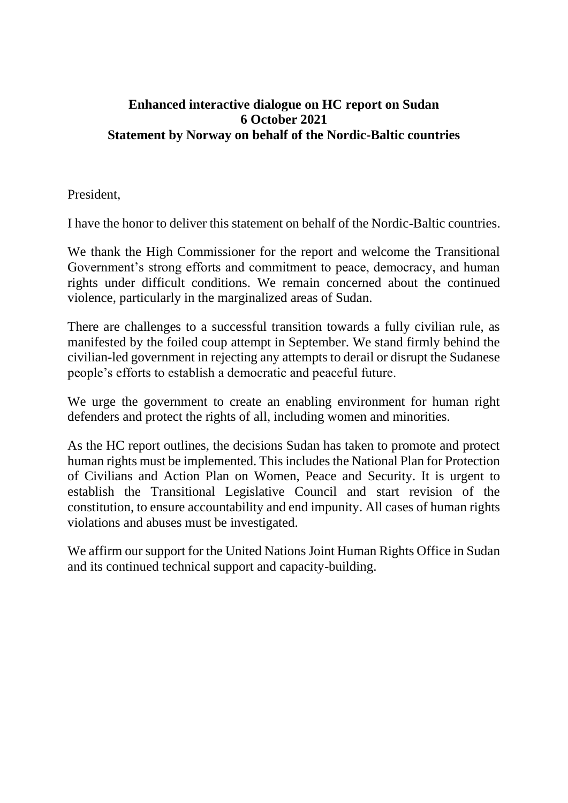### **Enhanced interactive dialogue on HC report on Sudan 6 October 2021 Statement by Norway on behalf of the Nordic-Baltic countries**

President,

I have the honor to deliver this statement on behalf of the Nordic-Baltic countries.

We thank the High Commissioner for the report and welcome the Transitional Government's strong efforts and commitment to peace, democracy, and human rights under difficult conditions. We remain concerned about the continued violence, particularly in the marginalized areas of Sudan.

There are challenges to a successful transition towards a fully civilian rule, as manifested by the foiled coup attempt in September. We stand firmly behind the civilian-led government in rejecting any attempts to derail or disrupt the Sudanese people's efforts to establish a democratic and peaceful future.

We urge the government to create an enabling environment for human right defenders and protect the rights of all, including women and minorities.

As the HC report outlines, the decisions Sudan has taken to promote and protect human rights must be implemented. This includes the National Plan for Protection of Civilians and Action Plan on Women, Peace and Security. It is urgent to establish the Transitional Legislative Council and start revision of the constitution, to ensure accountability and end impunity. All cases of human rights violations and abuses must be investigated.

We affirm our support for the United Nations Joint Human Rights Office in Sudan and its continued technical support and capacity-building.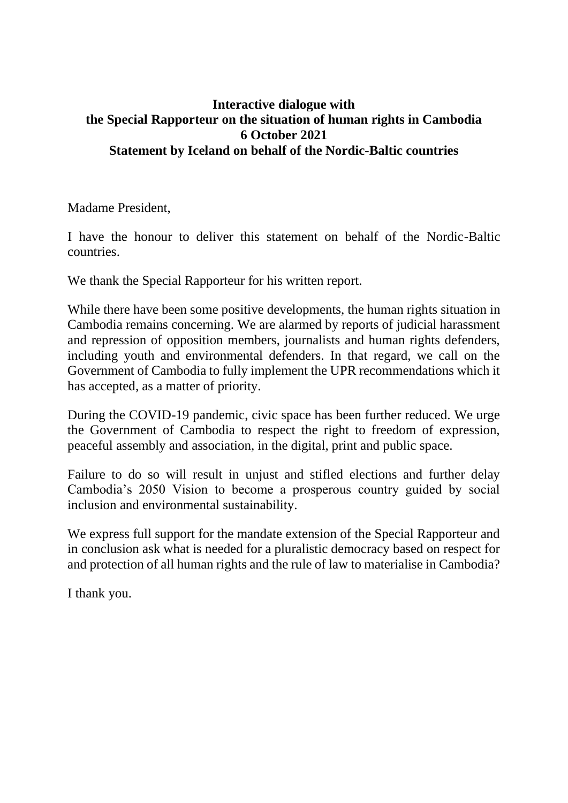# **Interactive dialogue with the Special Rapporteur on the situation of human rights in Cambodia 6 October 2021 Statement by Iceland on behalf of the Nordic-Baltic countries**

Madame President,

I have the honour to deliver this statement on behalf of the Nordic-Baltic countries.

We thank the Special Rapporteur for his written report.

While there have been some positive developments, the human rights situation in Cambodia remains concerning. We are alarmed by reports of judicial harassment and repression of opposition members, journalists and human rights defenders, including youth and environmental defenders. In that regard, we call on the Government of Cambodia to fully implement the UPR recommendations which it has accepted, as a matter of priority.

During the COVID-19 pandemic, civic space has been further reduced. We urge the Government of Cambodia to respect the right to freedom of expression, peaceful assembly and association, in the digital, print and public space.

Failure to do so will result in unjust and stifled elections and further delay Cambodia's 2050 Vision to become a prosperous country guided by social inclusion and environmental sustainability.

We express full support for the mandate extension of the Special Rapporteur and in conclusion ask what is needed for a pluralistic democracy based on respect for and protection of all human rights and the rule of law to materialise in Cambodia?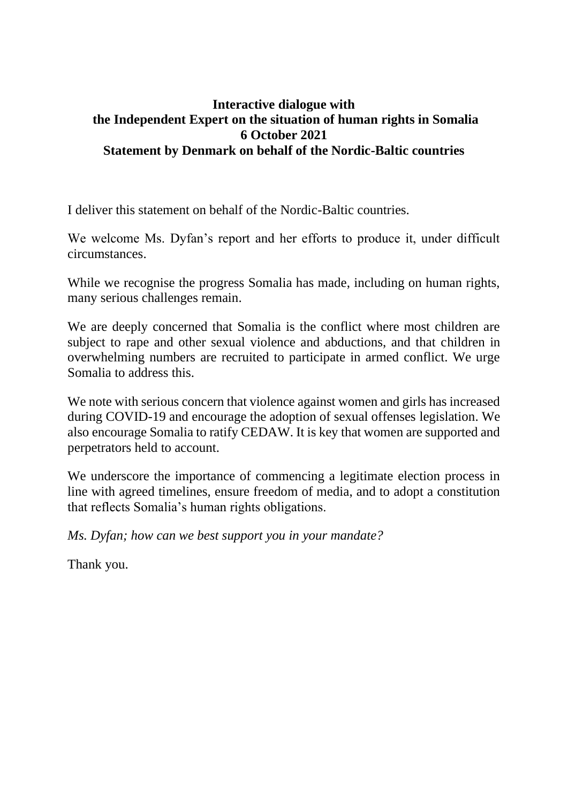# **Interactive dialogue with the Independent Expert on the situation of human rights in Somalia 6 October 2021 Statement by Denmark on behalf of the Nordic-Baltic countries**

I deliver this statement on behalf of the Nordic-Baltic countries.

We welcome Ms. Dyfan's report and her efforts to produce it, under difficult circumstances.

While we recognise the progress Somalia has made, including on human rights, many serious challenges remain.

We are deeply concerned that Somalia is the conflict where most children are subject to rape and other sexual violence and abductions, and that children in overwhelming numbers are recruited to participate in armed conflict. We urge Somalia to address this.

We note with serious concern that violence against women and girls has increased during COVID-19 and encourage the adoption of sexual offenses legislation. We also encourage Somalia to ratify CEDAW. It is key that women are supported and perpetrators held to account.

We underscore the importance of commencing a legitimate election process in line with agreed timelines, ensure freedom of media, and to adopt a constitution that reflects Somalia's human rights obligations.

*Ms. Dyfan; how can we best support you in your mandate?*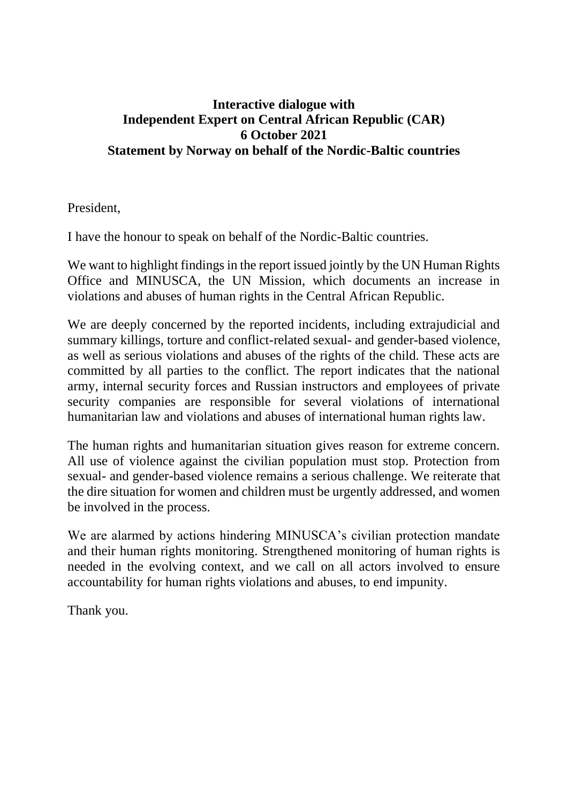# **Interactive dialogue with Independent Expert on Central African Republic (CAR) 6 October 2021 Statement by Norway on behalf of the Nordic-Baltic countries**

President,

I have the honour to speak on behalf of the Nordic-Baltic countries.

We want to highlight findings in the report issued jointly by the UN Human Rights Office and MINUSCA, the UN Mission, which documents an increase in violations and abuses of human rights in the Central African Republic.

We are deeply concerned by the reported incidents, including extrajudicial and summary killings, torture and conflict-related sexual- and gender-based violence, as well as serious violations and abuses of the rights of the child. These acts are committed by all parties to the conflict. The report indicates that the national army, internal security forces and Russian instructors and employees of private security companies are responsible for several violations of international humanitarian law and violations and abuses of international human rights law.

The human rights and humanitarian situation gives reason for extreme concern. All use of violence against the civilian population must stop. Protection from sexual- and gender-based violence remains a serious challenge. We reiterate that the dire situation for women and children must be urgently addressed, and women be involved in the process.

We are alarmed by actions hindering MINUSCA's civilian protection mandate and their human rights monitoring. Strengthened monitoring of human rights is needed in the evolving context, and we call on all actors involved to ensure accountability for human rights violations and abuses, to end impunity.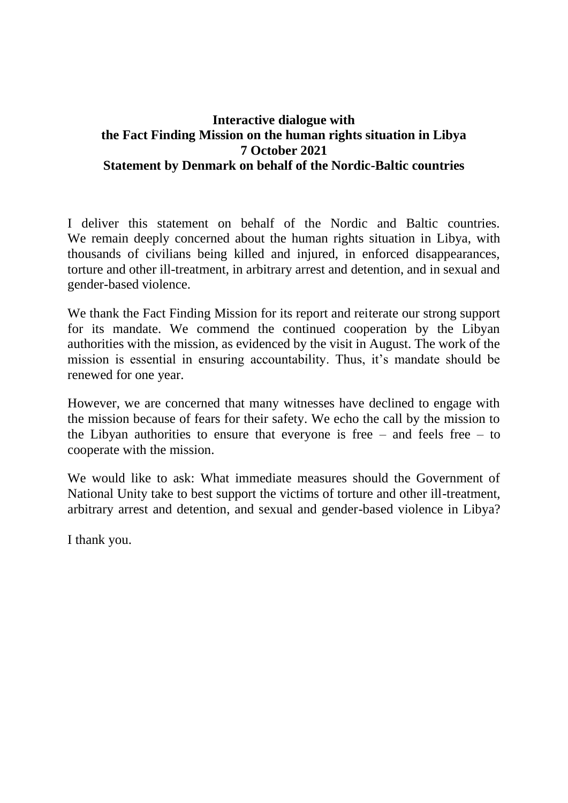# **Interactive dialogue with the Fact Finding Mission on the human rights situation in Libya 7 October 2021 Statement by Denmark on behalf of the Nordic-Baltic countries**

I deliver this statement on behalf of the Nordic and Baltic countries. We remain deeply concerned about the human rights situation in Libya, with thousands of civilians being killed and injured, in enforced disappearances, torture and other ill-treatment, in arbitrary arrest and detention, and in sexual and gender-based violence.

We thank the Fact Finding Mission for its report and reiterate our strong support for its mandate. We commend the continued cooperation by the Libyan authorities with the mission, as evidenced by the visit in August. The work of the mission is essential in ensuring accountability. Thus, it's mandate should be renewed for one year.

However, we are concerned that many witnesses have declined to engage with the mission because of fears for their safety. We echo the call by the mission to the Libyan authorities to ensure that everyone is free – and feels free – to cooperate with the mission.

We would like to ask: What immediate measures should the Government of National Unity take to best support the victims of torture and other ill-treatment, arbitrary arrest and detention, and sexual and gender-based violence in Libya?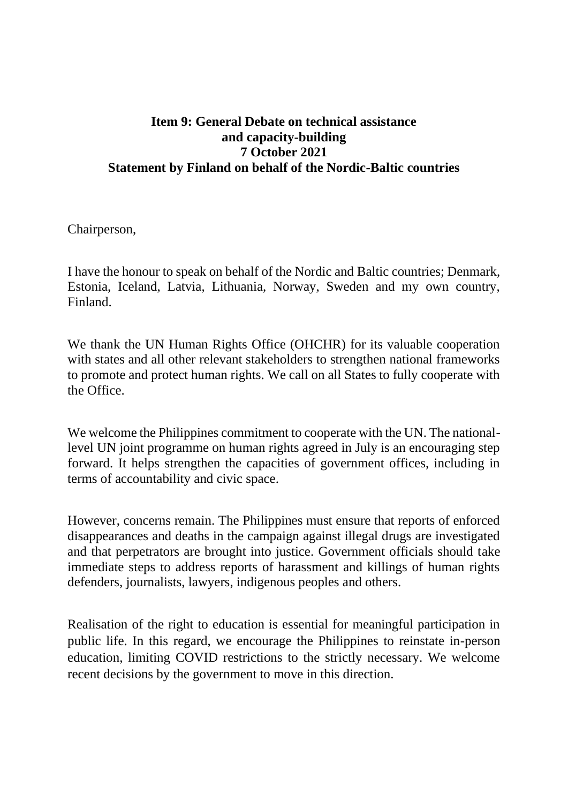# **Item 9: General Debate on technical assistance and capacity-building 7 October 2021 Statement by Finland on behalf of the Nordic-Baltic countries**

Chairperson,

I have the honour to speak on behalf of the Nordic and Baltic countries; Denmark, Estonia, Iceland, Latvia, Lithuania, Norway, Sweden and my own country, Finland.

We thank the UN Human Rights Office (OHCHR) for its valuable cooperation with states and all other relevant stakeholders to strengthen national frameworks to promote and protect human rights. We call on all States to fully cooperate with the Office.

We welcome the Philippines commitment to cooperate with the UN. The nationallevel UN joint programme on human rights agreed in July is an encouraging step forward. It helps strengthen the capacities of government offices, including in terms of accountability and civic space.

However, concerns remain. The Philippines must ensure that reports of enforced disappearances and deaths in the campaign against illegal drugs are investigated and that perpetrators are brought into justice. Government officials should take immediate steps to address reports of harassment and killings of human rights defenders, journalists, lawyers, indigenous peoples and others.

Realisation of the right to education is essential for meaningful participation in public life. In this regard, we encourage the Philippines to reinstate in-person education, limiting COVID restrictions to the strictly necessary. We welcome recent decisions by the government to move in this direction.